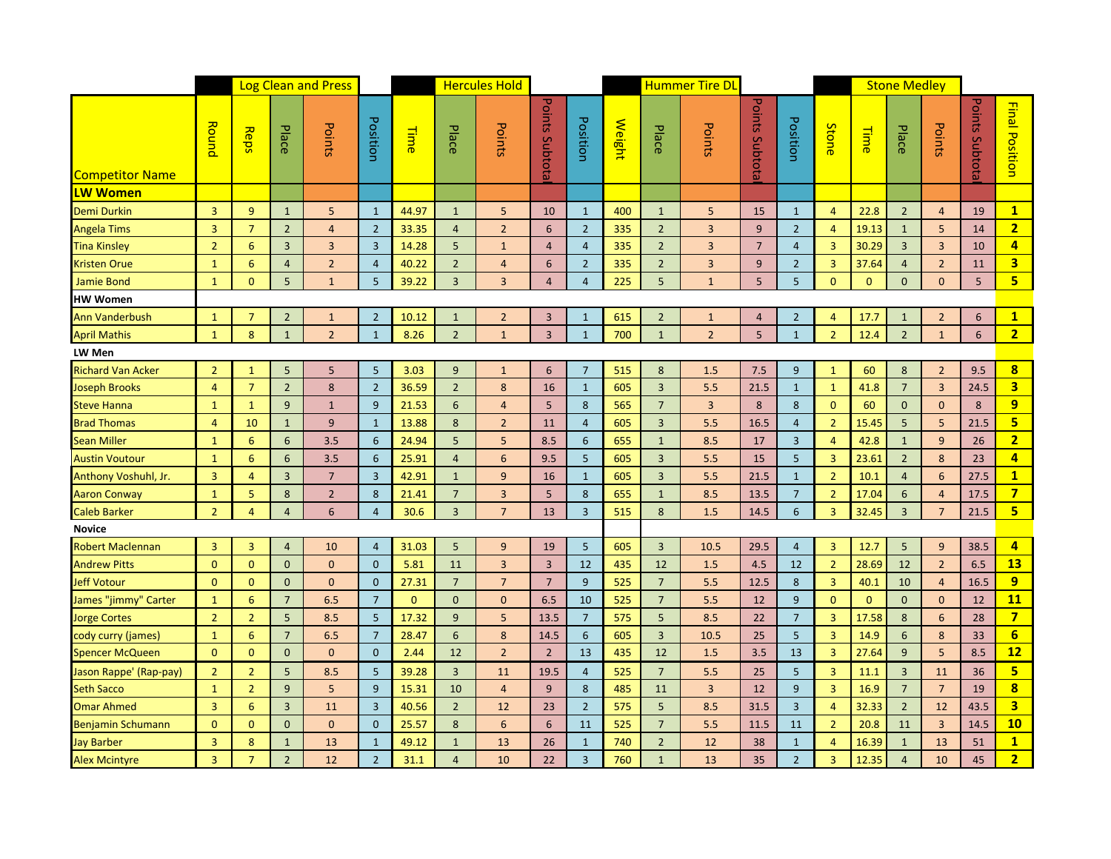|                                                  |                |                |                 | <b>Log Clean and Press</b> |                |              | <b>Hercules Hold</b> |                 |                 |                 | <b>Hummer Tire DL</b> |                 |                |                |                |                | <b>Stone Medley</b> |                 |                 |                 |                         |
|--------------------------------------------------|----------------|----------------|-----------------|----------------------------|----------------|--------------|----------------------|-----------------|-----------------|-----------------|-----------------------|-----------------|----------------|----------------|----------------|----------------|---------------------|-----------------|-----------------|-----------------|-------------------------|
| <b>Competitor Name</b>                           | Round          | Reps           | Place           | Points                     | Position       | <b>Time</b>  | Place                | Points          | Points Subtota  | Position        | Weight                | Place           | Points         | Points Subtota | Position       | <b>Stone</b>   | <b>Time</b>         | Place           | Points          | Points Subtota  | <b>Final Position</b>   |
| <b>LW Women</b>                                  |                |                |                 |                            |                |              |                      |                 |                 |                 |                       |                 |                |                |                |                |                     |                 |                 |                 |                         |
| Demi Durkin                                      | $\overline{3}$ | 9              | $\mathbf{1}$    | 5                          | $\mathbf{1}$   | 44.97        | $\mathbf{1}$         | 5               | 10              | $\mathbf{1}$    | 400                   | $\mathbf{1}$    | 5              | 15             | $\mathbf{1}$   | $\overline{4}$ | 22.8                | $\overline{2}$  | $\overline{4}$  | 19              | 1                       |
| Angela Tims                                      | $\overline{3}$ | $\overline{7}$ | $\overline{2}$  | $\overline{4}$             | $\overline{2}$ | 33.35        | $\overline{4}$       | $\overline{2}$  | 6               | $\overline{2}$  | 335                   | $\overline{2}$  | $\overline{3}$ | 9              | $\overline{2}$ | $\overline{4}$ | 19.13               | $\mathbf{1}$    | 5               | 14              | $\overline{2}$          |
| <b>Tina Kinsley</b>                              | $\overline{2}$ | 6              | 3               | $\overline{3}$             | $\overline{3}$ | 14.28        | 5                    | $\mathbf{1}$    | $\overline{4}$  | $\overline{4}$  | 335                   | $\overline{2}$  | $\overline{3}$ | $\overline{7}$ | $\overline{4}$ | $\overline{3}$ | 30.29               | $\overline{3}$  | $\overline{3}$  | 10              | $\overline{4}$          |
| <b>Kristen Orue</b>                              | $\mathbf{1}$   | $6\phantom{1}$ | $\overline{4}$  | $\overline{2}$             | $\overline{4}$ | 40.22        | $\overline{2}$       | $\overline{4}$  | 6               | $\overline{2}$  | 335                   | $\overline{2}$  | 3              | 9              | $\overline{2}$ | $\mathbf{3}$   | 37.64               | $\overline{4}$  | $\overline{2}$  | 11              | $\overline{\mathbf{3}}$ |
| <b>Jamie Bond</b>                                | $\mathbf{1}$   | $\overline{0}$ | 5               | $1\,$                      | 5              | 39.22        | $\mathbf{3}$         | $\overline{3}$  | $\overline{4}$  | $\overline{4}$  | 225                   | 5 <sub>5</sub>  | $\mathbf{1}$   | 5              | 5 <sub>5</sub> | $\mathbf{0}$   | $\overline{0}$      | $\mathbf{0}$    | $\mathbf{0}$    | $5\phantom{.0}$ | 5 <sub>5</sub>          |
| <b>HW Women</b>                                  |                |                |                 |                            |                |              |                      |                 |                 |                 |                       |                 |                |                |                |                |                     |                 |                 |                 |                         |
| <b>Ann Vanderbush</b>                            | $\mathbf{1}$   | $\overline{7}$ | $\overline{2}$  | $\mathbf{1}$               | $\overline{2}$ | 10.12        | $\mathbf{1}$         | $\overline{2}$  | $\overline{3}$  | $\mathbf{1}$    | 615                   | $2^{\circ}$     | $\mathbf{1}$   | $\overline{4}$ | $\overline{2}$ | $\overline{4}$ | 17.7                | $\mathbf{1}$    | $\overline{2}$  | 6               | $\mathbf{1}$            |
| <b>April Mathis</b>                              | $\mathbf{1}$   | 8              | $\mathbf{1}$    | $\overline{2}$             | $\mathbf{1}$   | 8.26         | $\overline{2}$       | $\mathbf{1}$    | $\overline{3}$  | $\mathbf{1}$    | 700                   | $\mathbf{1}$    | $\overline{2}$ | 5              | $1\,$          | $\overline{2}$ | 12.4                | $\overline{2}$  | $\mathbf{1}$    | $6\phantom{1}$  | 2 <sub>1</sub>          |
| LW Men                                           |                |                |                 |                            |                |              |                      |                 |                 |                 |                       |                 |                |                |                |                |                     |                 |                 |                 |                         |
| <b>Richard Van Acker</b>                         | $\overline{2}$ | $\mathbf{1}$   | 5               | 5                          | 5              | 3.03         | 9                    | $\mathbf{1}$    | 6               | $7\overline{ }$ | 515                   | 8               | 1.5            | 7.5            | 9              | $\mathbf{1}$   | 60                  | 8               | $\overline{2}$  | 9.5             | $\overline{\mathbf{8}}$ |
| Joseph Brooks                                    | $\overline{4}$ | $\overline{7}$ | $\overline{2}$  | 8                          | $\overline{2}$ | 36.59        | $\overline{2}$       | 8               | 16              | $\mathbf{1}$    | 605                   | $\overline{3}$  | 5.5            | 21.5           | $\mathbf{1}$   | $\mathbf{1}$   | 41.8                | $\overline{7}$  | $\overline{3}$  | 24.5            | $\overline{\mathbf{3}}$ |
| Steve Hanna                                      | $\mathbf{1}$   | $\mathbf{1}$   | 9               | $\mathbf{1}$               | 9              | 21.53        | 6                    | $\overline{4}$  | 5 <sup>5</sup>  | 8               | 565                   | $\overline{7}$  | 3              | 8              | 8              | $\Omega$       | 60                  | $\mathbf{0}$    | $\overline{0}$  | 8               | 9                       |
| <b>Brad Thomas</b>                               | $\overline{4}$ | 10             | $\mathbf{1}$    | 9                          | $\mathbf{1}$   | 13.88        | 8                    | $\overline{2}$  | 11              | $\overline{4}$  | 605                   | $\overline{3}$  | 5.5            | 16.5           | $\overline{4}$ | $\overline{2}$ | 15.45               | 5               | 5               | 21.5            | 5                       |
| <b>Sean Miller</b>                               | $\mathbf{1}$   | $6\phantom{1}$ | 6               | 3.5                        | 6              | 24.94        | 5                    | 5               | 8.5             | 6               | 655                   | $\mathbf{1}$    | 8.5            | 17             | $\overline{3}$ | $\overline{4}$ | 42.8                | $\mathbf{1}$    | 9               | 26              | $\overline{2}$          |
| <b>Austin Voutour</b>                            | $\mathbf{1}$   | 6              | 6               | 3.5                        | 6              | 25.91        | $\overline{4}$       | $6\phantom{1}6$ | 9.5             | 5 <sub>5</sub>  | 605                   | $\overline{3}$  | 5.5            | 15             | 5              | $\overline{3}$ | 23.61               | $\overline{2}$  | 8               | 23              | $\overline{4}$          |
| Anthony Voshuhl, Jr.                             | $\overline{3}$ | $\overline{4}$ | 3               | $7\overline{ }$            | $\overline{3}$ | 42.91        | $\mathbf{1}$         | 9               | 16              | $\mathbf{1}$    | 605                   | $\overline{3}$  | 5.5            | 21.5           | $\mathbf{1}$   | $\overline{2}$ | 10.1                | $\overline{4}$  | $6\phantom{1}6$ | 27.5            | $\mathbf{1}$            |
| Aaron Conway                                     | $\mathbf{1}$   | 5              | $\bf 8$         | $\overline{2}$             | 8              | 21.41        | $\overline{7}$       | $\overline{3}$  | 5               | $8\phantom{1}$  | 655                   | $\mathbf{1}$    | 8.5            | 13.5           | $\overline{7}$ | $\overline{2}$ | 17.04               | 6               | $\overline{4}$  | 17.5            | $\overline{7}$          |
| <b>Caleb Barker</b>                              | $\overline{2}$ | $\overline{4}$ | $\overline{4}$  | 6                          | $\overline{4}$ | 30.6         | $\overline{3}$       | $7\overline{ }$ | 13              | $\overline{3}$  | 515                   | 8               | 1.5            | 14.5           | 6              | $\overline{3}$ | 32.45               | $\overline{3}$  | $\overline{7}$  | 21.5            | 5                       |
| <b>Novice</b>                                    |                |                |                 |                            |                |              |                      |                 |                 |                 |                       |                 |                |                |                |                |                     |                 |                 |                 |                         |
| Robert Maclennan                                 | 3              | 3              | $\overline{4}$  | 10                         | $\overline{4}$ | 31.03        | 5                    | 9               | 19              | $5\phantom{.}$  | 605                   | $\overline{3}$  | 10.5           | 29.5           | $\overline{4}$ | $\overline{3}$ | 12.7                | 5               | 9               | 38.5            | $\overline{4}$          |
| <b>Andrew Pitts</b>                              | $\mathbf{0}$   | $\overline{0}$ | $\mathbf{0}$    | $\mathbf{0}$               | $\overline{0}$ | 5.81         | 11                   | $\overline{3}$  | $\overline{3}$  | 12              | 435                   | 12              | 1.5            | 4.5            | 12             | $\overline{2}$ | 28.69               | 12              | $\overline{2}$  | 6.5             | 13                      |
| Jeff Votour                                      | $\overline{0}$ | $\mathbf{0}$   | $\mathbf{0}$    | $\mathbf{0}$               | $\overline{0}$ | 27.31        | $7\overline{ }$      | $\overline{7}$  | $7\overline{ }$ | 9               | 525                   | $7\overline{ }$ | 5.5            | 12.5           | 8              | $\overline{3}$ | 40.1                | 10              | $\overline{4}$  | 16.5            | 9                       |
| James "jimmy" Carter                             | $\mathbf{1}$   | 6              | $7\overline{ }$ | 6.5                        | $\overline{7}$ | $\mathbf{0}$ | $\mathbf{0}$         | $\mathbf{0}$    | 6.5             | 10              | 525                   | $\overline{7}$  | 5.5            | 12             | $9\,$          | $\Omega$       | $\overline{0}$      | $\mathbf{0}$    | $\overline{0}$  | 12              | 11                      |
| Jorge Cortes                                     | $\overline{2}$ | 2 <sup>2</sup> | 5               | 8.5                        | 5              | 17.32        | 9                    | 5               | 13.5            | $\overline{7}$  | 575                   | 5               | 8.5            | 22             | $\overline{7}$ | $\overline{3}$ | 17.58               | 8               | $6\phantom{1}6$ | 28              | $\overline{7}$          |
| cody curry (james)                               | $\mathbf{1}$   | 6              | $7\overline{ }$ | 6.5                        | $\overline{7}$ | 28.47        | $6\overline{6}$      | $\bf 8$         | 14.5            | $6\phantom{1}$  | 605                   | $\overline{3}$  | 10.5           | 25             | $\sqrt{5}$     | $\mathbf{3}$   | 14.9                | $6\phantom{1}$  | 8               | 33              | $6\phantom{1}6$         |
| Spencer McQueen                                  | $\mathbf{0}$   | $\mathbf{0}$   | $\mathbf{0}$    | $\mathbf{0}$               | $\overline{0}$ | 2.44         | 12                   | $\overline{2}$  | $\overline{2}$  | 13              | 435                   | 12              | 1.5            | 3.5            | 13             | $\overline{3}$ | 27.64               | 9               | 5               | 8.5             | 12                      |
| Jason Rappe' (Rap-pay)                           | $\overline{2}$ | 2 <sup>2</sup> | 5               | 8.5                        | -5             | 39.28        | $\overline{3}$       | 11              | 19.5            | $\overline{4}$  | 525                   | $\overline{7}$  | 5.5            | 25             | 5              | $\overline{3}$ | 11.1                | $\overline{3}$  | 11              | 36              | 5 <sub>5</sub>          |
| <b>Seth Sacco</b>                                | $\mathbf{1}$   | $\overline{2}$ | 9               | 5                          | 9              | 15.31        | 10                   | $\overline{4}$  | 9 <sup>°</sup>  | 8               | 485                   | 11              | 3              | 12             | 9              | $\overline{3}$ | 16.9                | $7\overline{ }$ | $7\overline{ }$ | 19              | $\overline{\mathbf{8}}$ |
| <b>Omar Ahmed</b>                                | $\overline{3}$ | 6              | $\overline{3}$  | 11                         | $\overline{3}$ | 40.56        | $\overline{2}$       | 12              | 23              | $\overline{2}$  | 575                   | 5               | 8.5            | 31.5           | $\overline{3}$ | $\overline{4}$ | 32.33               | $\overline{2}$  | 12              | 43.5            | $\overline{\mathbf{3}}$ |
|                                                  | $\overline{0}$ | $\overline{0}$ | $\mathbf{0}$    | $\mathbf{0}$               | $\mathbf{0}$   | 25.57        | 8                    | 6               | 6               | 11              | 525                   | $\overline{7}$  | 5.5            | 11.5           | 11             | $\overline{2}$ | 20.8                | 11              | 3               | 14.5            | 10                      |
| Benjamin Schumann<br>Jay Barber<br>Alex Mcintyre | $\overline{3}$ | 8              | $\mathbf{1}$    | 13                         | $\mathbf{1}$   | 49.12        | $\mathbf{1}$         | 13              | 26              | $\mathbf{1}$    | 740                   | $\overline{2}$  | 12             | 38             | $\mathbf{1}$   | $\overline{4}$ | 16.39               | $\mathbf{1}$    | 13              | 51              | $\mathbf{1}$            |
|                                                  | $\overline{3}$ | $\overline{7}$ | $\overline{2}$  | 12                         | $\overline{2}$ | 31.1         | $\overline{4}$       | 10              | 22              | $\overline{3}$  | 760                   | $\mathbf{1}$    | 13             | 35             | $\overline{2}$ | $\overline{3}$ | 12.35               | $\overline{4}$  | 10              | 45              | $\overline{2}$          |